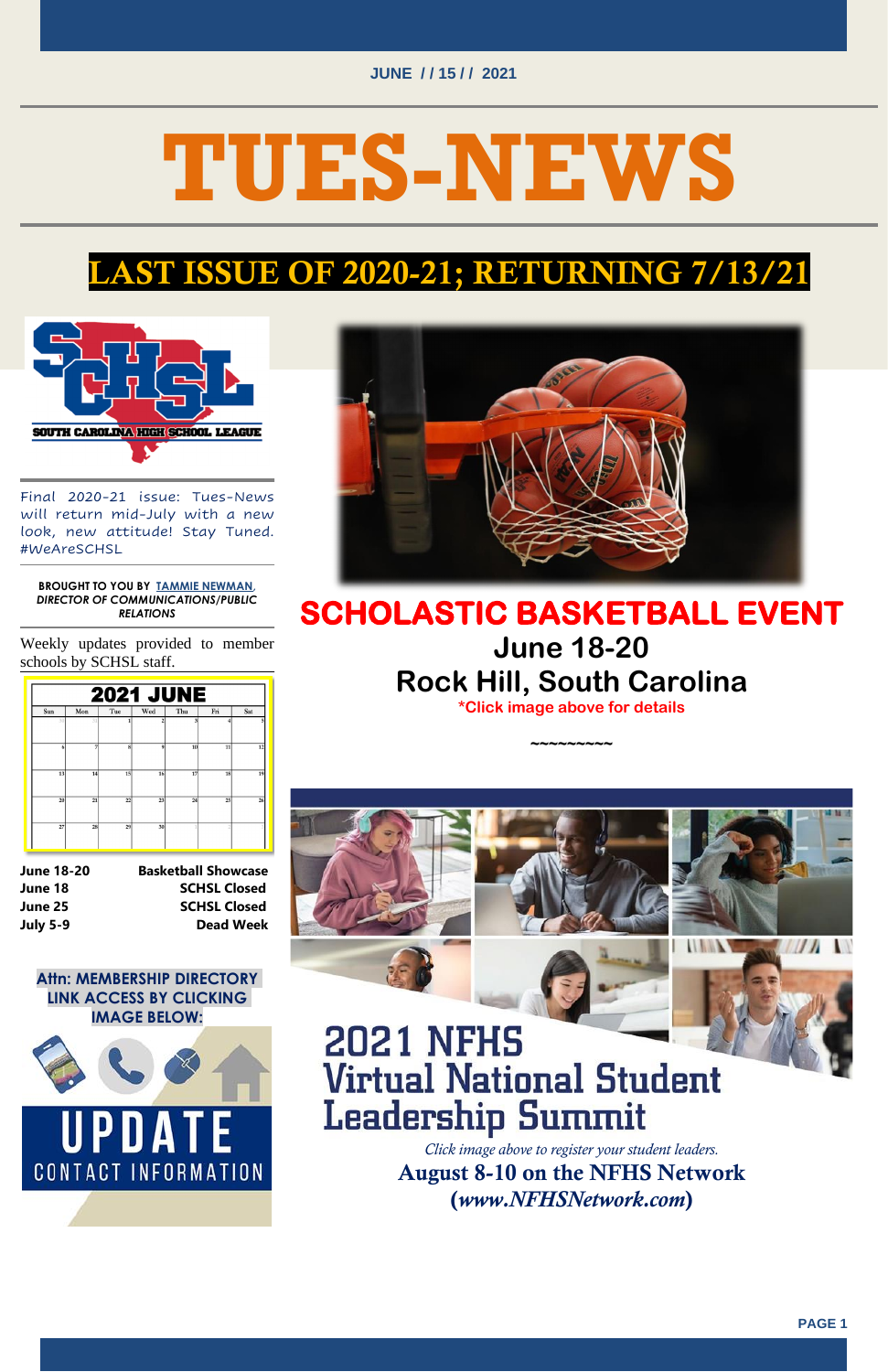#### **JUNE / / 15 / / 2021**



# **TUES-NEWS**

## LAST ISSUE OF 2020-21; RETURNING 7/13/21



Final 2020-21 issue: Tues-News will return mid-July with a new look, new attitude! Stay Tuned. #WeAreSCHSL

#### **BROUGHT TO YOU BY TAMMIE [NEWMAN,](mailto:tnewman@schsl.org)**  *DIRECTOR OF COMMUNICATIONS/PUBLIC RELATIONS*

Weekly updates provided to member schools by SCHSL staff.



**June 18-20 Basketball Showcase June 18 SCHSL Closed June 25 SCHSL Closed July 5-9 Dead Week**

**Attn: MEMBERSHIP DIRECTORY LINK ACCESS BY CLICKING** 



#### **IMAGE BELOW:**



## **2021 NFHS Virtual National Student Leadership Summit**

## **SCHOLASTIC BASKETBALL EVENT June 18-20 Rock Hill, South Carolina**

**\*Click image above for details**

**~~~~~~~~~** 



*Click image above to register your student leaders.* August 8-10 on the NFHS Network (*www.NFHSNetwork.com*)